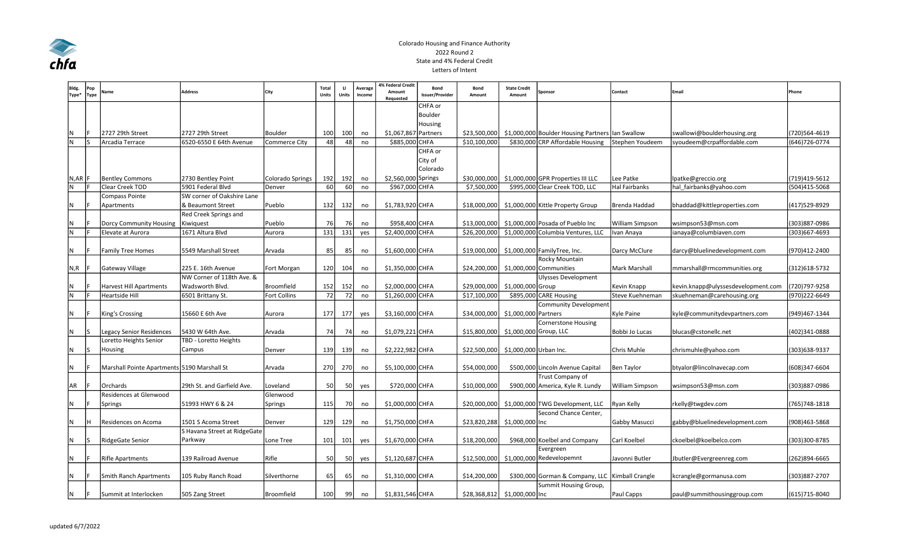

## Colorado Housing and Finance Authority 2022 Round 2 State and 4% Federal Credit Letters of Intent

| Bldg.<br>Type* | Pop<br>Type | Name                                        | Address                      | City             | Total<br><b>Units</b> | $\mathbf{H}$<br>Units | Average<br>Income | 4% Federal Credit<br>Amount<br>Requested | Bond<br>Issuer/Provider | Bond<br>Amount               | <b>State Credit</b><br>Amount | Sponsor                                          | Contact                | Email                              | Phone          |
|----------------|-------------|---------------------------------------------|------------------------------|------------------|-----------------------|-----------------------|-------------------|------------------------------------------|-------------------------|------------------------------|-------------------------------|--------------------------------------------------|------------------------|------------------------------------|----------------|
|                |             |                                             |                              |                  |                       |                       |                   |                                          | CHFA or                 |                              |                               |                                                  |                        |                                    |                |
|                |             |                                             |                              |                  |                       |                       |                   |                                          | Boulder                 |                              |                               |                                                  |                        |                                    |                |
|                |             |                                             |                              |                  |                       |                       |                   |                                          | Housing                 |                              |                               |                                                  |                        |                                    |                |
| IN.            |             | 2727 29th Street                            | 2727 29th Street             | Boulder          | 100                   | 100                   | no                | \$1,067,867 Partners                     |                         | \$23,500,000                 |                               | \$1,000,000 Boulder Housing Partners Ian Swallow |                        | swallowi@boulderhousing.org        | (720)564-4619  |
| IN.            |             | Arcadia Terrace                             | 6520-6550 E 64th Avenue      | Commerce City    | 48                    | 48                    | no                | \$885,000 CHFA                           |                         | \$10,100,000                 |                               | \$830,000 CRP Affordable Housing                 | Stephen Youdeem        | syoudeem@crpaffordable.com         | (646) 726-0774 |
|                |             |                                             |                              |                  |                       |                       |                   |                                          | CHFA or                 |                              |                               |                                                  |                        |                                    |                |
|                |             |                                             |                              |                  |                       |                       |                   |                                          | City of                 |                              |                               |                                                  |                        |                                    |                |
|                |             |                                             |                              |                  |                       |                       |                   |                                          | Colorado                |                              |                               |                                                  |                        |                                    |                |
| N,AR  F        |             | <b>Bentley Commons</b>                      | 2730 Bentley Point           | Colorado Springs | 192                   | 192                   | no                | \$2,560,000 Springs                      |                         | \$30,000,000                 |                               | \$1,000,000 GPR Properties III LLC               | Lee Patke              | lpatke@greccio.org                 | (719)419-5612  |
| N              |             | Clear Creek TOD                             | 5901 Federal Blvd            | Denver           | 60 l                  | 60                    | no                | \$967,000 CHFA                           |                         | \$7,500,000                  |                               | \$995,000 Clear Creek TOD, LLC                   | <b>Hal Fairbanks</b>   | hal fairbanks@yahoo.com            | (504)415-5068  |
|                |             | Compass Pointe                              | SW corner of Oakshire Lane   |                  |                       |                       |                   |                                          |                         |                              |                               |                                                  |                        |                                    |                |
| IN.            |             | Apartments                                  | & Beaumont Street            | Pueblo           | 132                   | 132                   | no                | \$1,783,920 CHFA                         |                         | \$18,000,000                 |                               | \$1,000,000 Kittle Property Group                | Brenda Haddad          | bhaddad@kittleproperties.com       | (417) 529-8929 |
|                |             |                                             | Red Creek Springs and        |                  |                       |                       |                   |                                          |                         |                              |                               |                                                  |                        |                                    |                |
| N              |             | Dorcy Community Housing                     | Kiwiquest                    | Pueblo           | 76                    | 76                    | no                | \$958,400 CHFA                           |                         | \$13,000,000                 |                               | \$1,000,000 Posada of Pueblo Inc                 | <b>William Simpson</b> | wsimpson53@msn.com                 | (303)887-0986  |
| N              |             | Elevate at Aurora                           | 1671 Altura Blvd             | Aurora           | 131                   | 131                   | yes               | \$2,400,000 CHFA                         |                         | \$26,200,000                 |                               | \$1,000,000 Columbia Ventures, LLC               | Ivan Anaya             | ianaya@columbiaven.com             | (303)667-4693  |
|                |             |                                             |                              |                  |                       |                       |                   |                                          |                         |                              |                               |                                                  |                        |                                    |                |
| N              |             | <b>Family Tree Homes</b>                    | 5549 Marshall Street         | Arvada           | 85                    | 85                    | no                | \$1,600,000 CHFA                         |                         | \$19,000,000                 |                               | \$1,000,000 FamilyTree, Inc.                     | Darcy McClure          | darcy@bluelinedevelopment.com      | (970)412-2400  |
|                |             |                                             |                              |                  |                       |                       |                   |                                          |                         |                              |                               | Rocky Mountain                                   |                        |                                    |                |
| N, R           |             | Gateway Village                             | 225 E. 16th Avenue           | Fort Morgan      | 120                   | 104                   | no                | \$1,350,000 CHFA                         |                         |                              |                               | \$24,200,000 \$1,000,000 Communities             | Mark Marshall          | mmarshall@rmcommunities.org        | (312) 618-5732 |
|                |             |                                             | NW Corner of 118th Ave. &    |                  |                       |                       |                   |                                          |                         |                              |                               | <b>Ulysses Development</b>                       |                        |                                    |                |
| N              |             | <b>Harvest Hill Apartments</b>              | Wadsworth Blvd.              | Broomfield       | 152                   | 152                   | no                | \$2,000,000 CHFA                         |                         | \$29,000,000                 | \$1,000,000 Group             |                                                  | Kevin Knapp            | kevin.knapp@ulyssesdevelopment.com | (720)797-9258  |
| IN.            |             | Heartside Hill                              | 6501 Brittany St.            | Fort Collins     | 72                    | 72                    | no                | \$1,260,000 CHFA                         |                         | \$17,100,000                 |                               | \$895,000 CARE Housing                           | Steve Kuehneman        | skuehneman@carehousing.org         | (970)222-6649  |
|                |             |                                             |                              |                  |                       |                       |                   |                                          |                         |                              |                               | <b>Community Development</b>                     |                        |                                    |                |
| N              |             | King's Crossing                             | 15660 E 6th Ave              | Aurora           | 177                   | 177                   | yes               | \$3,160,000 CHFA                         |                         | \$34,000,000                 | \$1,000,000 Partners          |                                                  | Kyle Paine             | kyle@communitydevpartners.com      | (949)467-1344  |
|                |             |                                             |                              |                  |                       |                       |                   |                                          |                         |                              |                               | <b>Cornerstone Housing</b>                       |                        |                                    |                |
| IN.            |             | Legacy Senior Residences                    | 5430 W 64th Ave.             | Arvada           | 74                    | 74                    | no                | \$1,079,221 CHFA                         |                         | \$15,800,000                 | \$1,000,000 Group, LLC        |                                                  | Bobbi Jo Lucas         | blucas@cstonellc.net               | (402)341-0888  |
|                |             | Loretto Heights Senior                      | TBD - Loretto Heights        |                  |                       |                       |                   |                                          |                         |                              |                               |                                                  |                        |                                    |                |
| N              |             | Housing                                     | Campus                       | Denver           | 139                   | 139                   | no                | \$2,222,982 CHFA                         |                         | \$22,500,000                 | \$1,000,000 Urban Inc.        |                                                  | Chris Muhle            | chrismuhle@yahoo.com               | (303) 638-9337 |
|                |             |                                             |                              |                  |                       |                       |                   |                                          |                         |                              |                               |                                                  |                        |                                    |                |
| IN.            |             | Marshall Pointe Apartments 5190 Marshall St |                              | Arvada           | 270                   | 270                   | no                | \$5,100,000 CHFA                         |                         | \$54,000,000                 |                               | \$500,000 Lincoln Avenue Capital                 | <b>Ben Taylor</b>      | btyalor@lincolnavecap.com          | (608)347-6604  |
|                |             |                                             |                              |                  |                       |                       |                   |                                          |                         |                              |                               | Trust Company of                                 |                        |                                    |                |
| AR             |             | <b>Orchards</b>                             | 29th St. and Garfield Ave.   | Loveland         | <b>50</b>             | 50                    | yes               | \$720,000 CHFA                           |                         | \$10,000,000                 |                               | \$900,000 America, Kyle R. Lundy                 | <b>William Simpson</b> | wsimpson53@msn.com                 | (303)887-0986  |
|                |             | Residences at Glenwood                      |                              | Glenwood         |                       |                       |                   |                                          |                         |                              |                               |                                                  |                        |                                    |                |
| N              |             | Springs                                     | 51993 HWY 6 & 24             | Springs          | 115                   | 70                    | no                | \$1,000,000 CHFA                         |                         | \$20,000,000                 |                               | \$1,000,000 TWG Development, LLC                 | Ryan Kelly             | rkelly@twgdev.com                  | (765) 748-1818 |
|                |             |                                             |                              |                  |                       |                       |                   |                                          |                         |                              |                               | Second Chance Center,                            |                        |                                    |                |
| N              | Iн          | Residences on Acoma                         | 1501 S Acoma Street          | Denver           | 129                   | 129                   | no                | \$1,750,000 CHFA                         |                         | \$23,820,288                 | \$1,000,000 Inc               |                                                  | Gabby Masucci          | gabby@bluelinedevelopment.com      | (908)463-5868  |
|                |             |                                             | S Havana Street at RidgeGate |                  |                       |                       |                   |                                          |                         |                              |                               |                                                  |                        |                                    |                |
| IN.            | IS.         | RidgeGate Senior                            | Parkway                      | Lone Tree        | 101                   | 101                   | yes               | \$1,670,000 CHFA                         |                         | \$18,200,000                 |                               | \$968,000 Koelbel and Company                    | Carl Koelbel           | ckoelbel@koelbelco.com             | (303)300-8785  |
|                |             |                                             |                              |                  |                       |                       |                   |                                          |                         |                              |                               | Evergreen                                        |                        |                                    |                |
| N              |             | <b>Rifle Apartments</b>                     | 139 Railroad Avenue          | Rifle            | <b>50</b>             | 50                    | yes               | \$1,120,687 CHFA                         |                         | \$12,500,000                 |                               | \$1,000,000 Redevelopemnt                        | Javonni Butler         | Jbutler@Evergreenreg.com           | (262)894-6665  |
|                |             |                                             |                              |                  |                       |                       |                   |                                          |                         |                              |                               |                                                  |                        |                                    |                |
| N              |             | Smith Ranch Apartments                      | 105 Ruby Ranch Road          | Silverthorne     | 65                    | 65                    | no                | \$1,310,000 CHFA                         |                         | \$14,200,000                 |                               | \$300,000 Gorman & Company, LLC Kimball Crangle  |                        | kcrangle@gormanusa.com             | (303)887-2707  |
|                |             |                                             |                              |                  |                       |                       |                   |                                          |                         |                              |                               | Summit Housing Group,                            |                        |                                    |                |
| IN.            |             | Summit at Interlocken                       | 505 Zang Street              | Broomfield       | 100                   | 99                    | no                | \$1,831,546 CHFA                         |                         | \$28,368,812 \$1,000,000 Inc |                               |                                                  | Paul Capps             | paul@summithousinggroup.com        | (615) 715-8040 |